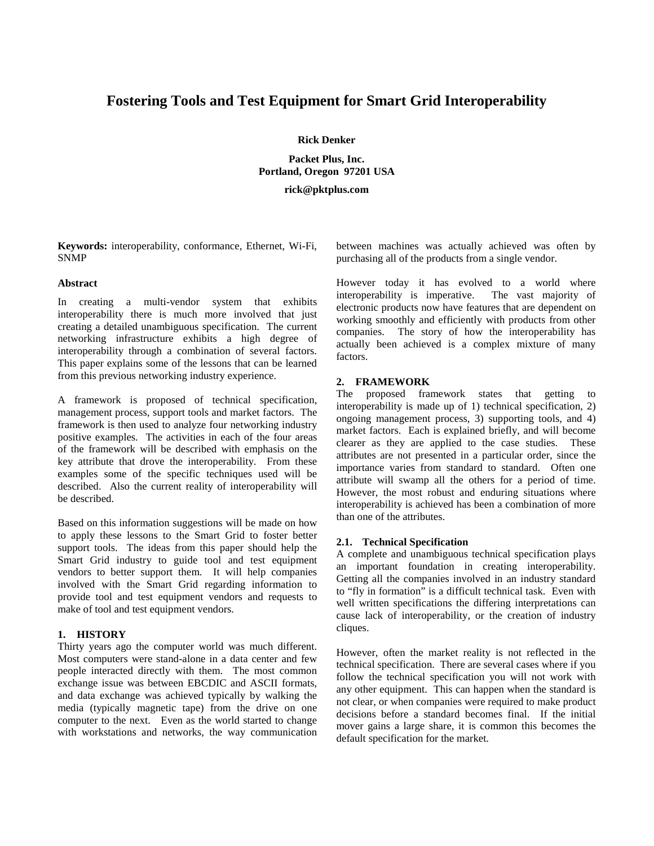# **Fostering Tools and Test Equipment for Smart Grid Interoperability**

### **Rick Denker**

**Packet Plus, Inc. Portland, Oregon 97201 USA**

**rick@pktplus.com**

**Keywords:** interoperability, conformance, Ethernet, Wi-Fi, SNMP

### **Abstract**

In creating a multi-vendor system that exhibits interoperability there is much more involved that just creating a detailed unambiguous specification. The current networking infrastructure exhibits a high degree of interoperability through a combination of several factors. This paper explains some of the lessons that can be learned from this previous networking industry experience.

A framework is proposed of technical specification, management process, support tools and market factors. The framework is then used to analyze four networking industry positive examples. The activities in each of the four areas of the framework will be described with emphasis on the key attribute that drove the interoperability. From these examples some of the specific techniques used will be described. Also the current reality of interoperability will be described.

Based on this information suggestions will be made on how to apply these lessons to the Smart Grid to foster better support tools. The ideas from this paper should help the Smart Grid industry to guide tool and test equipment vendors to better support them. It will help companies involved with the Smart Grid regarding information to provide tool and test equipment vendors and requests to make of tool and test equipment vendors.

#### **1. HISTORY**

Thirty years ago the computer world was much different. Most computers were stand-alone in a data center and few people interacted directly with them. The most common exchange issue was between EBCDIC and ASCII formats, and data exchange was achieved typically by walking the media (typically magnetic tape) from the drive on one computer to the next. Even as the world started to change with workstations and networks, the way communication between machines was actually achieved was often by purchasing all of the products from a single vendor.

However today it has evolved to a world where interoperability is imperative. The vast majority of electronic products now have features that are dependent on working smoothly and efficiently with products from other companies. The story of how the interoperability has actually been achieved is a complex mixture of many factors.

#### **2. FRAMEWORK**

The proposed framework states that getting to interoperability is made up of 1) technical specification, 2) ongoing management process, 3) supporting tools, and 4) market factors. Each is explained briefly, and will become clearer as they are applied to the case studies. These attributes are not presented in a particular order, since the importance varies from standard to standard. Often one attribute will swamp all the others for a period of time. However, the most robust and enduring situations where interoperability is achieved has been a combination of more than one of the attributes.

### **2.1. Technical Specification**

A complete and unambiguous technical specification plays an important foundation in creating interoperability. Getting all the companies involved in an industry standard to "fly in formation" is a difficult technical task. Even with well written specifications the differing interpretations can cause lack of interoperability, or the creation of industry cliques.

However, often the market reality is not reflected in the technical specification. There are several cases where if you follow the technical specification you will not work with any other equipment. This can happen when the standard is not clear, or when companies were required to make product decisions before a standard becomes final. If the initial mover gains a large share, it is common this becomes the default specification for the market.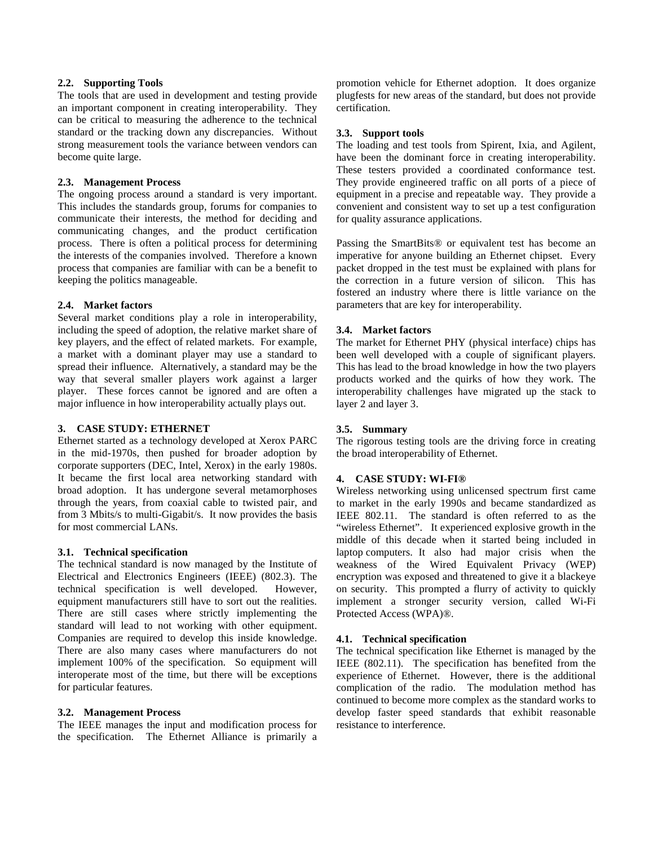### **2.2. Supporting Tools**

The tools that are used in development and testing provide an important component in creating interoperability. They can be critical to measuring the adherence to the technical standard or the tracking down any discrepancies. Without strong measurement tools the variance between vendors can become quite large.

### **2.3. Management Process**

The ongoing process around a standard is very important. This includes the standards group, forums for companies to communicate their interests, the method for deciding and communicating changes, and the product certification process. There is often a political process for determining the interests of the companies involved. Therefore a known process that companies are familiar with can be a benefit to keeping the politics manageable.

### **2.4. Market factors**

Several market conditions play a role in interoperability, including the speed of adoption, the relative market share of key players, and the effect of related markets. For example, a market with a dominant player may use a standard to spread their influence. Alternatively, a standard may be the way that several smaller players work against a larger player. These forces cannot be ignored and are often a major influence in how interoperability actually plays out.

### **3. CASE STUDY: ETHERNET**

Ethernet started as a technology developed at Xerox PARC in the mid-1970s, then pushed for broader adoption by corporate supporters (DEC, Intel, Xerox) in the early 1980s. It became the first local area networking standard with broad adoption. It has undergone several metamorphoses through the years, from coaxial cable to twisted pair, and from 3 Mbits/s to multi-Gigabit/s. It now provides the basis for most commercial LANs.

#### **3.1. Technical specification**

The technical standard is now managed by the Institute of Electrical and Electronics Engineers (IEEE) (802.3). The technical specification is well developed. However, equipment manufacturers still have to sort out the realities. There are still cases where strictly implementing the standard will lead to not working with other equipment. Companies are required to develop this inside knowledge. There are also many cases where manufacturers do not implement 100% of the specification. So equipment will interoperate most of the time, but there will be exceptions for particular features.

#### **3.2. Management Process**

The IEEE manages the input and modification process for the specification. The Ethernet Alliance is primarily a promotion vehicle for Ethernet adoption. It does organize plugfests for new areas of the standard, but does not provide certification.

### **3.3. Support tools**

The loading and test tools from Spirent, Ixia, and Agilent, have been the dominant force in creating interoperability. These testers provided a coordinated conformance test. They provide engineered traffic on all ports of a piece of equipment in a precise and repeatable way. They provide a convenient and consistent way to set up a test configuration for quality assurance applications.

Passing the SmartBits® or equivalent test has become an imperative for anyone building an Ethernet chipset. Every packet dropped in the test must be explained with plans for the correction in a future version of silicon. This has fostered an industry where there is little variance on the parameters that are key for interoperability.

### **3.4. Market factors**

The market for Ethernet PHY (physical interface) chips has been well developed with a couple of significant players. This has lead to the broad knowledge in how the two players products worked and the quirks of how they work. The interoperability challenges have migrated up the stack to layer 2 and layer 3.

# **3.5. Summary**

The rigorous testing tools are the driving force in creating the broad interoperability of Ethernet.

# **4. CASE STUDY: WI-FI®**

Wireless networking using unlicensed spectrum first came to market in the early 1990s and became standardized as IEEE 802.11. The standard is often referred to as the "wireless Ethernet". It experienced explosive growth in the middle of this decade when it started being included in laptop computers. It also had major crisis when the weakness of the Wired Equivalent Privacy (WEP) encryption was exposed and threatened to give it a blackeye on security. This prompted a flurry of activity to quickly implement a stronger security version, called Wi-Fi Protected Access (WPA)®.

#### **4.1. Technical specification**

The technical specification like Ethernet is managed by the IEEE (802.11). The specification has benefited from the experience of Ethernet. However, there is the additional complication of the radio. The modulation method has continued to become more complex as the standard works to develop faster speed standards that exhibit reasonable resistance to interference.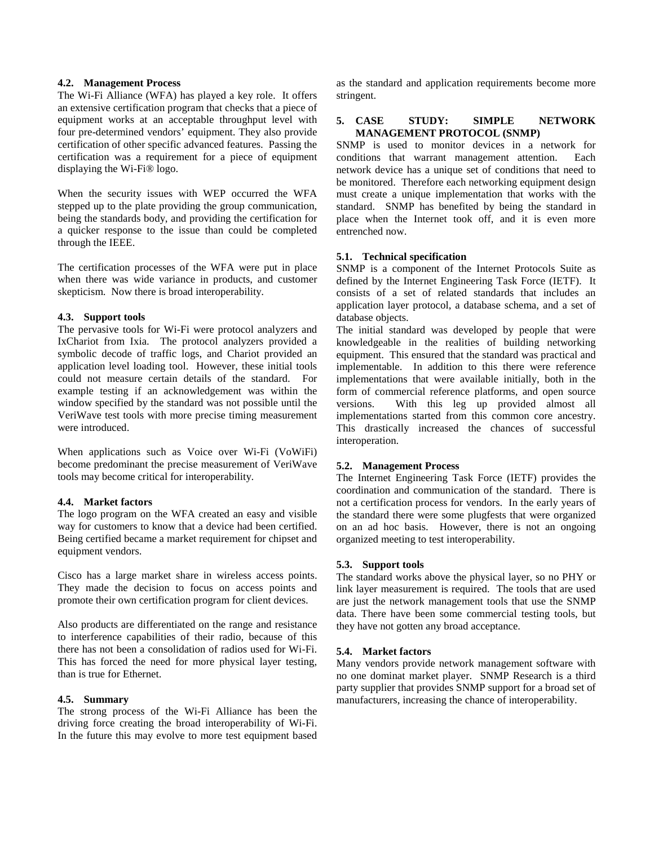### **4.2. Management Process**

The Wi-Fi Alliance (WFA) has played a key role. It offers an extensive certification program that checks that a piece of equipment works at an acceptable throughput level with four pre-determined vendors' equipment. They also provide certification of other specific advanced features. Passing the certification was a requirement for a piece of equipment displaying the Wi-Fi® logo.

When the security issues with WEP occurred the WFA stepped up to the plate providing the group communication, being the standards body, and providing the certification for a quicker response to the issue than could be completed through the IEEE.

The certification processes of the WFA were put in place when there was wide variance in products, and customer skepticism. Now there is broad interoperability.

#### **4.3. Support tools**

The pervasive tools for Wi-Fi were protocol analyzers and IxChariot from Ixia. The protocol analyzers provided a symbolic decode of traffic logs, and Chariot provided an application level loading tool. However, these initial tools could not measure certain details of the standard. For example testing if an acknowledgement was within the window specified by the standard was not possible until the VeriWave test tools with more precise timing measurement were introduced.

When applications such as Voice over Wi-Fi (VoWiFi) become predominant the precise measurement of VeriWave tools may become critical for interoperability.

# **4.4. Market factors**

The logo program on the WFA created an easy and visible way for customers to know that a device had been certified. Being certified became a market requirement for chipset and equipment vendors.

Cisco has a large market share in wireless access points. They made the decision to focus on access points and promote their own certification program for client devices.

Also products are differentiated on the range and resistance to interference capabilities of their radio, because of this there has not been a consolidation of radios used for Wi-Fi. This has forced the need for more physical layer testing, than is true for Ethernet.

#### **4.5. Summary**

The strong process of the Wi-Fi Alliance has been the driving force creating the broad interoperability of Wi-Fi. In the future this may evolve to more test equipment based

as the standard and application requirements become more stringent.

### **5. CASE STUDY: SIMPLE NETWORK MANAGEMENT PROTOCOL (SNMP)**

SNMP is used to monitor devices in a network for conditions that warrant management attention. Each network device has a unique set of conditions that need to be monitored. Therefore each networking equipment design must create a unique implementation that works with the standard. SNMP has benefited by being the standard in place when the Internet took off, and it is even more entrenched now.

### **5.1. Technical specification**

SNMP is a component of the Internet Protocols Suite as defined by the Internet Engineering Task Force (IETF). It consists of a set of related standards that includes an application layer protocol, a database schema, and a set of database objects.

The initial standard was developed by people that were knowledgeable in the realities of building networking equipment. This ensured that the standard was practical and implementable. In addition to this there were reference implementations that were available initially, both in the form of commercial reference platforms, and open source versions. With this leg up provided almost all implementations started from this common core ancestry. This drastically increased the chances of successful interoperation.

# **5.2. Management Process**

The Internet Engineering Task Force (IETF) provides the coordination and communication of the standard. There is not a certification process for vendors. In the early years of the standard there were some plugfests that were organized on an ad hoc basis. However, there is not an ongoing organized meeting to test interoperability.

# **5.3. Support tools**

The standard works above the physical layer, so no PHY or link layer measurement is required. The tools that are used are just the network management tools that use the SNMP data. There have been some commercial testing tools, but they have not gotten any broad acceptance.

#### **5.4. Market factors**

Many vendors provide network management software with no one dominat market player. SNMP Research is a third party supplier that provides SNMP support for a broad set of manufacturers, increasing the chance of interoperability.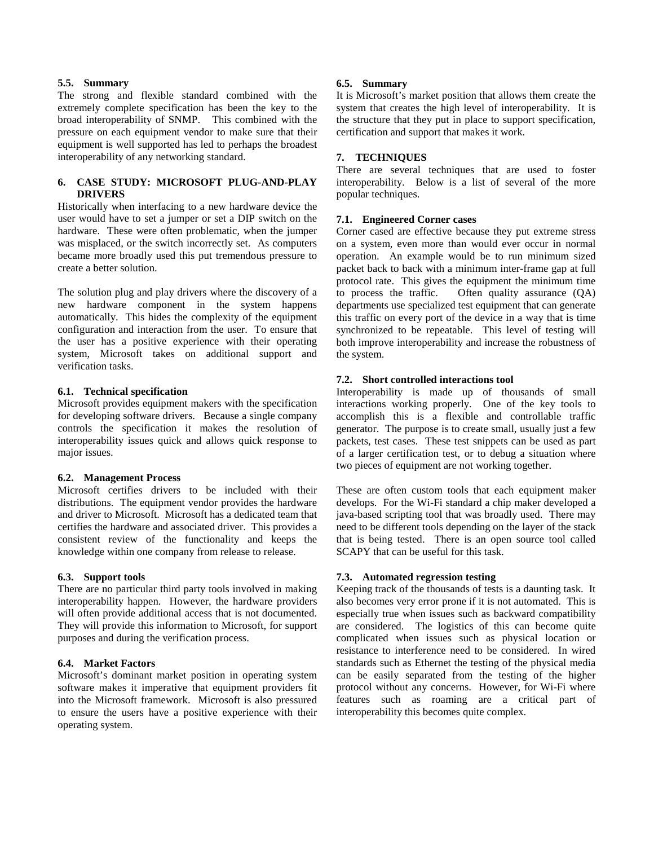#### **5.5. Summary**

The strong and flexible standard combined with the extremely complete specification has been the key to the broad interoperability of SNMP. This combined with the pressure on each equipment vendor to make sure that their equipment is well supported has led to perhaps the broadest interoperability of any networking standard.

# **6. CASE STUDY: MICROSOFT PLUG-AND-PLAY DRIVERS**

Historically when interfacing to a new hardware device the user would have to set a jumper or set a DIP switch on the hardware. These were often problematic, when the jumper was misplaced, or the switch incorrectly set. As computers became more broadly used this put tremendous pressure to create a better solution.

The solution plug and play drivers where the discovery of a new hardware component in the system happens automatically. This hides the complexity of the equipment configuration and interaction from the user. To ensure that the user has a positive experience with their operating system, Microsoft takes on additional support and verification tasks.

#### **6.1. Technical specification**

Microsoft provides equipment makers with the specification for developing software drivers. Because a single company controls the specification it makes the resolution of interoperability issues quick and allows quick response to major issues.

#### **6.2. Management Process**

Microsoft certifies drivers to be included with their distributions. The equipment vendor provides the hardware and driver to Microsoft. Microsoft has a dedicated team that certifies the hardware and associated driver. This provides a consistent review of the functionality and keeps the knowledge within one company from release to release.

#### **6.3. Support tools**

There are no particular third party tools involved in making interoperability happen. However, the hardware providers will often provide additional access that is not documented. They will provide this information to Microsoft, for support purposes and during the verification process.

### **6.4. Market Factors**

Microsoft's dominant market position in operating system software makes it imperative that equipment providers fit into the Microsoft framework. Microsoft is also pressured to ensure the users have a positive experience with their operating system.

### **6.5. Summary**

It is Microsoft's market position that allows them create the system that creates the high level of interoperability. It is the structure that they put in place to support specification, certification and support that makes it work.

# **7. TECHNIQUES**

There are several techniques that are used to foster interoperability. Below is a list of several of the more popular techniques.

### **7.1. Engineered Corner cases**

Corner cased are effective because they put extreme stress on a system, even more than would ever occur in normal operation. An example would be to run minimum sized packet back to back with a minimum inter-frame gap at full protocol rate. This gives the equipment the minimum time<br>to process the traffic. Often quality assurance (QA) Often quality assurance  $(QA)$ departments use specialized test equipment that can generate this traffic on every port of the device in a way that is time synchronized to be repeatable. This level of testing will both improve interoperability and increase the robustness of the system.

### **7.2. Short controlled interactions tool**

Interoperability is made up of thousands of small interactions working properly. One of the key tools to accomplish this is a flexible and controllable traffic generator. The purpose is to create small, usually just a few packets, test cases. These test snippets can be used as part of a larger certification test, or to debug a situation where two pieces of equipment are not working together.

These are often custom tools that each equipment maker develops. For the Wi-Fi standard a chip maker developed a java-based scripting tool that was broadly used. There may need to be different tools depending on the layer of the stack that is being tested. There is an open source tool called SCAPY that can be useful for this task.

# **7.3. Automated regression testing**

Keeping track of the thousands of tests is a daunting task. It also becomes very error prone if it is not automated. This is especially true when issues such as backward compatibility are considered. The logistics of this can become quite complicated when issues such as physical location or resistance to interference need to be considered. In wired standards such as Ethernet the testing of the physical media can be easily separated from the testing of the higher protocol without any concerns. However, for Wi-Fi where features such as roaming are a critical part of interoperability this becomes quite complex.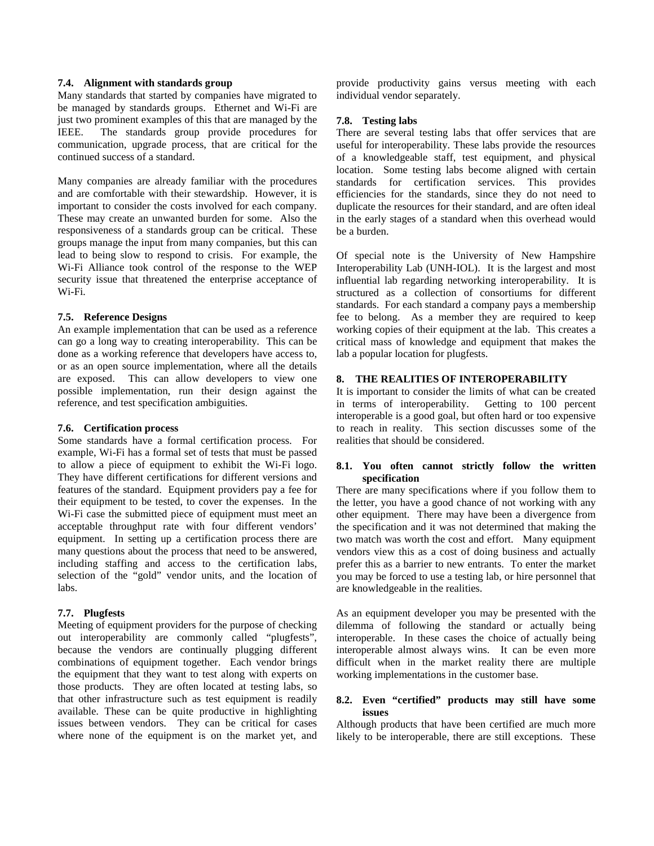### **7.4. Alignment with standards group**

Many standards that started by companies have migrated to be managed by standards groups. Ethernet and Wi-Fi are just two prominent examples of this that are managed by the IEEE. The standards group provide procedures for communication, upgrade process, that are critical for the continued success of a standard.

Many companies are already familiar with the procedures and are comfortable with their stewardship. However, it is important to consider the costs involved for each company. These may create an unwanted burden for some. Also the responsiveness of a standards group can be critical. These groups manage the input from many companies, but this can lead to being slow to respond to crisis. For example, the Wi-Fi Alliance took control of the response to the WEP security issue that threatened the enterprise acceptance of Wi-Fi.

### **7.5. Reference Designs**

An example implementation that can be used as a reference can go a long way to creating interoperability. This can be done as a working reference that developers have access to, or as an open source implementation, where all the details are exposed. This can allow developers to view one possible implementation, run their design against the reference, and test specification ambiguities.

#### **7.6. Certification process**

Some standards have a formal certification process. For example, Wi-Fi has a formal set of tests that must be passed to allow a piece of equipment to exhibit the Wi-Fi logo. They have different certifications for different versions and features of the standard. Equipment providers pay a fee for their equipment to be tested, to cover the expenses. In the Wi-Fi case the submitted piece of equipment must meet an acceptable throughput rate with four different vendors' equipment. In setting up a certification process there are many questions about the process that need to be answered, including staffing and access to the certification labs, selection of the "gold" vendor units, and the location of labs.

# **7.7. Plugfests**

Meeting of equipment providers for the purpose of checking out interoperability are commonly called "plugfests", because the vendors are continually plugging different combinations of equipment together. Each vendor brings the equipment that they want to test along with experts on those products. They are often located at testing labs, so that other infrastructure such as test equipment is readily available. These can be quite productive in highlighting issues between vendors. They can be critical for cases where none of the equipment is on the market yet, and

provide productivity gains versus meeting with each individual vendor separately.

# **7.8. Testing labs**

There are several testing labs that offer services that are useful for interoperability. These labs provide the resources of a knowledgeable staff, test equipment, and physical location. Some testing labs become aligned with certain standards for certification services. This provides efficiencies for the standards, since they do not need to duplicate the resources for their standard, and are often ideal in the early stages of a standard when this overhead would be a burden.

Of special note is the University of New Hampshire Interoperability Lab (UNH-IOL). It is the largest and most influential lab regarding networking interoperability. It is structured as a collection of consortiums for different standards. For each standard a company pays a membership fee to belong. As a member they are required to keep working copies of their equipment at the lab. This creates a critical mass of knowledge and equipment that makes the lab a popular location for plugfests.

# **8. THE REALITIES OF INTEROPERABILITY**

It is important to consider the limits of what can be created in terms of interoperability. Getting to 100 percent interoperable is a good goal, but often hard or too expensive to reach in reality. This section discusses some of the realities that should be considered.

### **8.1. You often cannot strictly follow the written specification**

There are many specifications where if you follow them to the letter, you have a good chance of not working with any other equipment. There may have been a divergence from the specification and it was not determined that making the two match was worth the cost and effort. Many equipment vendors view this as a cost of doing business and actually prefer this as a barrier to new entrants. To enter the market you may be forced to use a testing lab, or hire personnel that are knowledgeable in the realities.

As an equipment developer you may be presented with the dilemma of following the standard or actually being interoperable. In these cases the choice of actually being interoperable almost always wins. It can be even more difficult when in the market reality there are multiple working implementations in the customer base.

#### **8.2. Even "certified" products may still have some issues**

Although products that have been certified are much more likely to be interoperable, there are still exceptions. These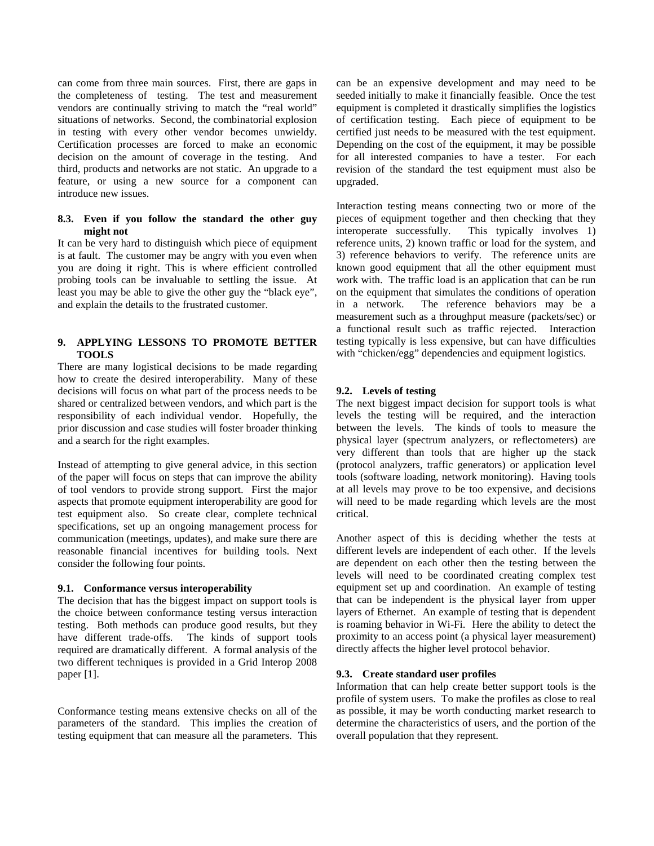can come from three main sources. First, there are gaps in the completeness of testing. The test and measurement vendors are continually striving to match the "real world" situations of networks. Second, the combinatorial explosion in testing with every other vendor becomes unwieldy. Certification processes are forced to make an economic decision on the amount of coverage in the testing. And third, products and networks are not static. An upgrade to a feature, or using a new source for a component can introduce new issues.

### **8.3. Even if you follow the standard the other guy might not**

It can be very hard to distinguish which piece of equipment is at fault. The customer may be angry with you even when you are doing it right. This is where efficient controlled probing tools can be invaluable to settling the issue. At least you may be able to give the other guy the "black eye", and explain the details to the frustrated customer.

# **9. APPLYING LESSONS TO PROMOTE BETTER TOOLS**

There are many logistical decisions to be made regarding how to create the desired interoperability. Many of these decisions will focus on what part of the process needs to be shared or centralized between vendors, and which part is the responsibility of each individual vendor. Hopefully, the prior discussion and case studies will foster broader thinking and a search for the right examples.

Instead of attempting to give general advice, in this section of the paper will focus on steps that can improve the ability of tool vendors to provide strong support. First the major aspects that promote equipment interoperability are good for test equipment also. So create clear, complete technical specifications, set up an ongoing management process for communication (meetings, updates), and make sure there are reasonable financial incentives for building tools. Next consider the following four points.

# **9.1. Conformance versus interoperability**

The decision that has the biggest impact on support tools is the choice between conformance testing versus interaction testing. Both methods can produce good results, but they have different trade-offs. The kinds of support tools required are dramatically different. A formal analysis of the two different techniques is provided in a Grid Interop 2008 paper [1].

Conformance testing means extensive checks on all of the parameters of the standard. This implies the creation of testing equipment that can measure all the parameters. This can be an expensive development and may need to be seeded initially to make it financially feasible. Once the test equipment is completed it drastically simplifies the logistics of certification testing. Each piece of equipment to be certified just needs to be measured with the test equipment. Depending on the cost of the equipment, it may be possible for all interested companies to have a tester. For each revision of the standard the test equipment must also be upgraded.

Interaction testing means connecting two or more of the pieces of equipment together and then checking that they interoperate successfully. This typically involves 1) This typically involves 1) reference units, 2) known traffic or load for the system, and 3) reference behaviors to verify. The reference units are known good equipment that all the other equipment must work with. The traffic load is an application that can be run on the equipment that simulates the conditions of operation in a network. The reference behaviors may be a measurement such as a throughput measure (packets/sec) or a functional result such as traffic rejected. Interaction testing typically is less expensive, but can have difficulties with "chicken/egg" dependencies and equipment logistics.

# **9.2. Levels of testing**

The next biggest impact decision for support tools is what levels the testing will be required, and the interaction between the levels. The kinds of tools to measure the physical layer (spectrum analyzers, or reflectometers) are very different than tools that are higher up the stack (protocol analyzers, traffic generators) or application level tools (software loading, network monitoring). Having tools at all levels may prove to be too expensive, and decisions will need to be made regarding which levels are the most critical.

Another aspect of this is deciding whether the tests at different levels are independent of each other. If the levels are dependent on each other then the testing between the levels will need to be coordinated creating complex test equipment set up and coordination. An example of testing that can be independent is the physical layer from upper layers of Ethernet. An example of testing that is dependent is roaming behavior in Wi-Fi. Here the ability to detect the proximity to an access point (a physical layer measurement) directly affects the higher level protocol behavior.

#### **9.3. Create standard user profiles**

Information that can help create better support tools is the profile of system users. To make the profiles as close to real as possible, it may be worth conducting market research to determine the characteristics of users, and the portion of the overall population that they represent.